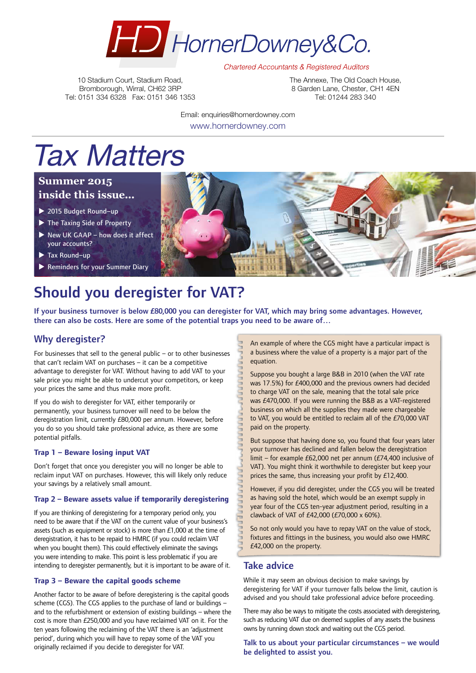

**Chartered Accountants & Registered Auditors** 

10 Stadium Court, Stadium Road, Bromborough, Wirral, CH62 3RP Tel: 0151 334 6328 Fax: 0151 346 1353 The Annexe, The Old Coach House, 8 Garden Lane, Chester, CH1 4FN Tel: 01244 283 340

Email: enquiries@hornerdowney.com www.hornerdowney.com

# Tax Matters

### **Summer 2015 inside this issue...**

- ▶ 2015 Budget Round-up
- $\blacktriangleright$  The Taxing Side of Property
- $\triangleright$  New UK GAAP how does it affect your accounts?
- $\blacktriangleright$  Tax Round-up
- Reminders for your Summer Diary

# Should you deregister for VAT?

If your business turnover is below £80,000 you can deregister for VAT, which may bring some advantages. However, there can also be costs. Here are some of the potential traps you need to be aware of…

# Why deregister?

For businesses that sell to the general public – or to other businesses that can't reclaim VAT on purchases – it can be a competitive advantage to deregister for VAT. Without having to add VAT to your sale price you might be able to undercut your competitors, or keep your prices the same and thus make more profit.

If you do wish to deregister for VAT, either temporarily or permanently, your business turnover will need to be below the deregistration limit, currently £80,000 per annum. However, before you do so you should take professional advice, as there are some potential pitfalls.

#### **Trap 1 – Beware losing input VAT**

Don't forget that once you deregister you will no longer be able to reclaim input VAT on purchases. However, this will likely only reduce your savings by a relatively small amount.

#### **Trap 2 – Beware assets value if temporarily deregistering**

If you are thinking of deregistering for a temporary period only, you need to be aware that if the VAT on the current value of your business's assets (such as equipment or stock) is more than £1,000 at the time of deregistration, it has to be repaid to HMRC (if you could reclaim VAT when you bought them). This could effectively eliminate the savings you were intending to make. This point is less problematic if you are intending to deregister permanently, but it is important to be aware of it.

#### **Trap 3 – Beware the capital goods scheme**

Another factor to be aware of before deregistering is the capital goods scheme (CGS). The CGS applies to the purchase of land or buildings – and to the refurbishment or extension of existing buildings – where the cost is more than £250,000 and you have reclaimed VAT on it. For the ten years following the reclaiming of the VAT there is an 'adjustment period', during which you will have to repay some of the VAT you originally reclaimed if you decide to deregister for VAT.

An example of where the CGS might have a particular impact is a business where the value of a property is a major part of the equation.

Suppose you bought a large B&B in 2010 (when the VAT rate was 17.5%) for £400,000 and the previous owners had decided to charge VAT on the sale, meaning that the total sale price was £470,000. If you were running the B&B as a VAT-registered business on which all the supplies they made were chargeable to VAT, you would be entitled to reclaim all of the £70,000 VAT paid on the property.

But suppose that having done so, you found that four years later your turnover has declined and fallen below the deregistration limit – for example £62,000 net per annum (£74,400 inclusive of VAT). You might think it worthwhile to deregister but keep your prices the same, thus increasing your profit by £12,400.

However, if you did deregister, under the CGS you will be treated as having sold the hotel, which would be an exempt supply in year four of the CGS ten-year adjustment period, resulting in a clawback of VAT of £42,000 (£70,000 x 60%).

So not only would you have to repay VAT on the value of stock, fixtures and fittings in the business, you would also owe HMRC £42,000 on the property.

### Take advice

While it may seem an obvious decision to make savings by deregistering for VAT if your turnover falls below the limit, caution is advised and you should take professional advice before proceeding.

There may also be ways to mitigate the costs associated with deregistering, such as reducing VAT due on deemed supplies of any assets the business owns by running down stock and waiting out the CGS period.

Talk to us about your particular circumstances – we would be delighted to assist you.

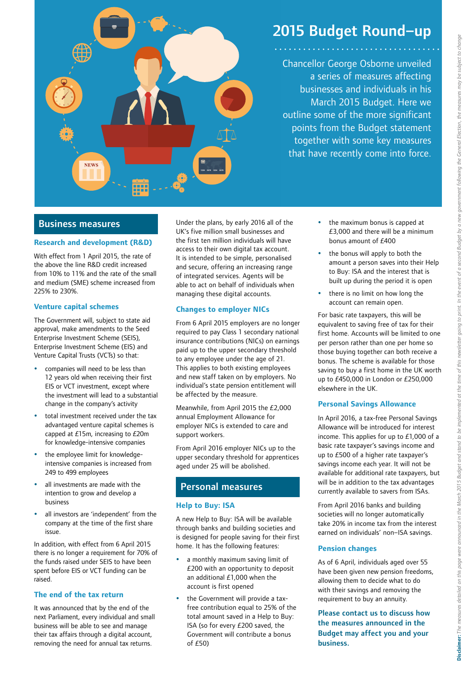

# 2015 Budget Round–up

Chancellor George Osborne unveiled a series of measures affecting businesses and individuals in his March 2015 Budget. Here we outline some of the more significant points from the Budget statement together with some key measures that have recently come into force.

### Business measures

#### **Research and development (R&D)**

With effect from 1 April 2015, the rate of the above the line R&D credit increased from 10% to 11% and the rate of the small and medium (SME) scheme increased from 225% to 230%.

#### **Venture capital schemes**

The Government will, subject to state aid approval, make amendments to the Seed Enterprise Investment Scheme (SEIS), Enterprise Investment Scheme (EIS) and Venture Capital Trusts (VCTs) so that:

- companies will need to be less than 12 years old when receiving their first EIS or VCT investment, except where the investment will lead to a substantial change in the company's activity
- total investment received under the tax advantaged venture capital schemes is capped at £15m, increasing to £20m for knowledge-intensive companies
- the employee limit for knowledgeintensive companies is increased from 249 to 499 employees
- all investments are made with the intention to grow and develop a business
- all investors are 'independent' from the company at the time of the first share issue.

In addition, with effect from 6 April 2015 there is no longer a requirement for 70% of the funds raised under SEIS to have been spent before EIS or VCT funding can be raised.

#### **The end of the tax return**

It was announced that by the end of the next Parliament, every individual and small business will be able to see and manage their tax affairs through a digital account, removing the need for annual tax returns.

Under the plans, by early 2016 all of the UK's five million small businesses and the first ten million individuals will have access to their own digital tax account. It is intended to be simple, personalised and secure, offering an increasing range of integrated services. Agents will be able to act on behalf of individuals when managing these digital accounts.

#### **Changes to employer NICs**

From 6 April 2015 employers are no longer required to pay Class 1 secondary national insurance contributions (NICs) on earnings paid up to the upper secondary threshold to any employee under the age of 21. This applies to both existing employees and new staff taken on by employers. No individual's state pension entitlement will be affected by the measure.

Meanwhile, from April 2015 the £2,000 annual Employment Allowance for employer NICs is extended to care and support workers.

From April 2016 employer NICs up to the upper secondary threshold for apprentices aged under 25 will be abolished.

### Personal measures

#### **Help to Buy: ISA**

A new Help to Buy: ISA will be available through banks and building societies and is designed for people saving for their first home. It has the following features:

- a monthly maximum saving limit of £200 with an opportunity to deposit an additional £1,000 when the account is first opened
- the Government will provide a taxfree contribution equal to 25% of the total amount saved in a Help to Buy: ISA (so for every £200 saved, the Government will contribute a bonus of £50)
- the maximum bonus is capped at £3,000 and there will be a minimum bonus amount of £400
- the bonus will apply to both the amount a person saves into their Help to Buy: ISA and the interest that is built up during the period it is open
- there is no limit on how long the account can remain open.

For basic rate taxpayers, this will be equivalent to saving free of tax for their first home. Accounts will be limited to one per person rather than one per home so those buying together can both receive a bonus. The scheme is available for those saving to buy a first home in the UK worth up to £450,000 in London or £250,000 elsewhere in the UK.

#### **Personal Savings Allowance**

In April 2016, a tax-free Personal Savings Allowance will be introduced for interest income. This applies for up to £1,000 of a basic rate taxpayer's savings income and up to £500 of a higher rate taxpayer's savings income each year. It will not be available for additional rate taxpayers, but will be in addition to the tax advantages currently available to savers from ISAs.

From April 2016 banks and building societies will no longer automatically take 20% in income tax from the interest earned on individuals' non–ISA savings.

#### **Pension changes**

As of 6 April, individuals aged over 55 have been given new pension freedoms, allowing them to decide what to do with their savings and removing the requirement to buy an annuity.

Please contact us to discuss how the measures announced in the Budget may affect you and your business.

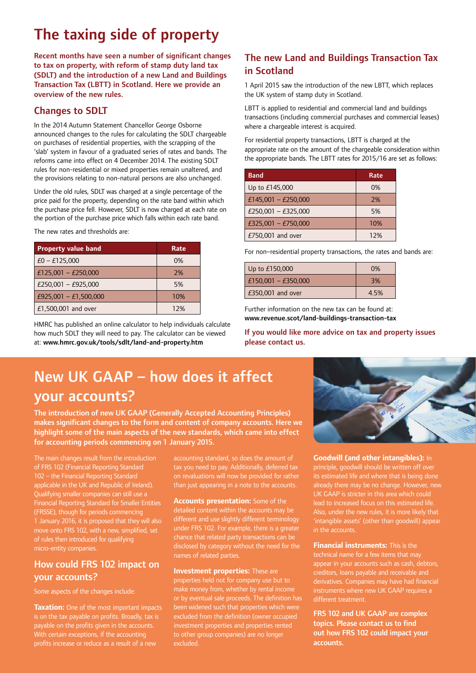# The taxing side of property

Recent months have seen a number of significant changes to tax on property, with reform of stamp duty land tax (SDLT) and the introduction of a new Land and Buildings Transaction Tax (LBTT) in Scotland. Here we provide an overview of the new rules.

# Changes to SDLT

In the 2014 Autumn Statement Chancellor George Osborne announced changes to the rules for calculating the SDLT chargeable on purchases of residential properties, with the scrapping of the 'slab' system in favour of a graduated series of rates and bands. The reforms came into effect on 4 December 2014. The existing SDLT rules for non-residential or mixed properties remain unaltered, and the provisions relating to non-natural persons are also unchanged.

Under the old rules, SDLT was charged at a single percentage of the price paid for the property, depending on the rate band within which the purchase price fell. However, SDLT is now charged at each rate on the portion of the purchase price which falls within each rate band.

The new rates and thresholds are:

| <b>Property value band</b> | Rate |
|----------------------------|------|
| $E0 - E125,000$            | 0%   |
| £125,001 - £250,000        | 2%   |
| £250,001 - £925,000        | 5%   |
| £925,001 - £1,500,000      | 10%  |
| £1,500,001 and over        | 12%  |

HMRC has published an online calculator to help individuals calculate how much SDLT they will need to pay. The calculator can be viewed at: www.hmrc.gov.uk/tools/sdlt/land-and-property.htm

# The new Land and Buildings Transaction Tax in Scotland

1 April 2015 saw the introduction of the new LBTT, which replaces the UK system of stamp duty in Scotland.

LBTT is applied to residential and commercial land and buildings transactions (including commercial purchases and commercial leases) where a chargeable interest is acquired.

For residential property transactions, LBTT is charged at the appropriate rate on the amount of the chargeable consideration within the appropriate bands. The LBTT rates for 2015/16 are set as follows:

| <b>Band</b>         | Rate |
|---------------------|------|
| Up to £145,000      | 0%   |
| £145,001 - £250,000 | 7%   |
| £250,001 - £325,000 | 5%   |
| £325,001 - £750,000 | 10%  |
| £750,001 and over   | 12%  |

For non–residential property transactions, the rates and bands are:

| Up to $£150,000$    | 0%   |
|---------------------|------|
| £150,001 - £350,000 | 3%   |
| £350,001 and over   | 4.5% |

Further information on the new tax can be found at: www.revenue.scot/land-buildings-transaction-tax

If you would like more advice on tax and property issues please contact us.

# New UK GAAP – how does it affect your accounts?

The introduction of new UK GAAP (Generally Accepted Accounting Principles) makes significant changes to the form and content of company accounts. Here we highlight some of the main aspects of the new standards, which came into effect for accounting periods commencing on 1 January 2015.

The main changes result from the introduction of FRS 102 (Financial Reporting Standard 102 – the Financial Reporting Standard applicable in the UK and Republic of Ireland). Qualifying smaller companies can still use a Financial Reporting Standard for Smaller Entities (FRSSE), though for periods commencing 1 January 2016, it is proposed that they will also move onto FRS 102, with a new, simplified, set of rules then introduced for qualifying micro-entity companies.

# How could FRS 102 impact on your accounts?

Some aspects of the changes include:

**Taxation:** One of the most important impacts is on the tax payable on profits. Broadly, tax is payable on the profits given in the accounts. With certain exceptions, if the accounting profits increase or reduce as a result of a new

accounting standard, so does the amount of tax you need to pay. Additionally, deferred tax on revaluations will now be provided for rather than just appearing in a note to the accounts.

**Accounts presentation:** Some of the detailed content within the accounts may be different and use slightly different terminology under FRS 102. For example, there is a greater chance that related party transactions can be disclosed by category without the need for the names of related parties.

**Investment properties:** These are properties held not for company use but to or by eventual sale proceeds. The definition has been widened such that properties which were excluded from the definition (owner occupied investment properties and properties rented to other group companies) are no longer excluded.



**Goodwill (and other intangibles):** In principle, goodwill should be written off over its estimated life and where that is being done already there may be no change. However, new UK GAAP is stricter in this area which could lead to increased focus on this estimated life. 'intangible assets' (other than goodwill) appear in the accounts.

**Financial instruments:** This is the appear in your accounts such as cash, debtors, creditors, loans payable and receivable and derivatives. Companies may have had financial instruments where new UK GAAP requires a different treatment.

FRS 102 and UK GAAP are complex topics. Please contact us to find out how FRS 102 could impact your accounts.